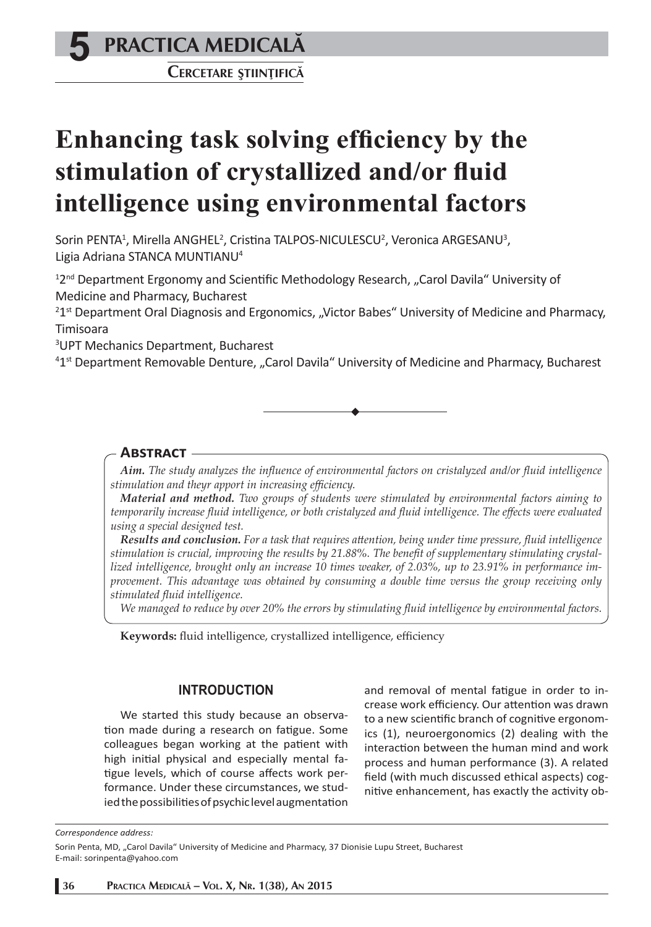# **5 PRACTICA MEDICALÅ**

**CERCETARE <sup>Ş</sup>TIINºIFICÅ**

# **Enhancing task solving efficiency by the** stimulation of crystallized and/or fluid **intelligence using environmental factors**

Sorin PENTA<sup>1</sup>, Mirella ANGHEL<sup>2</sup>, Cristina TALPOS-NICULESCU<sup>2</sup>, Veronica ARGESANU<sup>3</sup>, Ligia Adriana STANCA MUNTIANU4

<sup>12nd</sup> Department Ergonomy and Scientific Methodology Research, "Carol Davila" University of Medicine and Pharmacy, Bucharest

<sup>2</sup>1<sup>st</sup> Department Oral Diagnosis and Ergonomics, "Victor Babes" University of Medicine and Pharmacy, Timisoara

3 UPT Mechanics Department, Bucharest

<sup>41st</sup> Department Removable Denture, "Carol Davila" University of Medicine and Pharmacy, Bucharest

### **ABSTRACT**

Aim. The study analyzes the influence of environmental factors on cristalyzed and/or fluid intelligence *stimulation and theyr apport in increasing effi ciency.*

*Material and method. Two groups of students were stimulated by environmental factors aiming to temporarily increase fluid intelligence, or both cristalyzed and fluid intelligence. The effects were evaluated using a special designed test.* 

*Results and conclusion. For a task that requires att ention, being under time pressure, fl uid intelligence*  stimulation is crucial, improving the results by 21.88%. The benefit of supplementary stimulating crystal*lized intelligence, brought only an increase 10 times weaker, of 2.03%, up to 23.91% in performance improvement. This advantage was obtained by consuming a double time versus the group receiving only stimulated fl uid intelligence.*

*We managed to reduce by over 20% the errors by stimulating fl uid intelligence by environmental factors.* 

Keywords: fluid intelligence, crystallized intelligence, efficiency

#### **INTRODUCTION**

We started this study because an observation made during a research on fatigue. Some colleagues began working at the patient with high initial physical and especially mental fatigue levels, which of course affects work performance. Under these circumstances, we studied the possibilities of psychic level augmentation and removal of mental fatigue in order to increase work efficiency. Our attention was drawn to a new scientific branch of cognitive ergonomics (1), neuroergonomics (2) dealing with the interaction between the human mind and work process and human performance (3). A related field (with much discussed ethical aspects) cognitive enhancement, has exactly the activity ob-

*Correspondence address:* 

Sorin Penta, MD, "Carol Davila" University of Medicine and Pharmacy, 37 Dionisie Lupu Street, Bucharest E-mail: sorinpenta@yahoo.com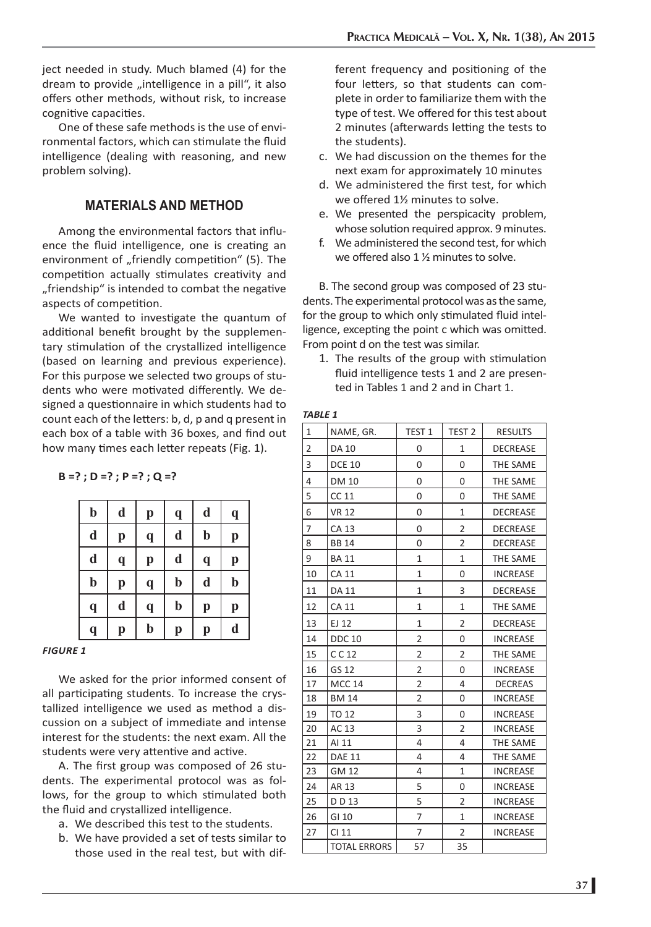ject needed in study. Much blamed (4) for the dream to provide "intelligence in a pill", it also offers other methods, without risk, to increase cognitive capacities.

One of these safe methods is the use of environmental factors, which can stimulate the fluid intelligence (dealing with reasoning, and new problem solving).

#### **MATERIALS AND METHOD**

Among the environmental factors that influence the fluid intelligence, one is creating an environment of "friendly competition" (5). The competition actually stimulates creativity and "friendship" is intended to combat the negative aspects of competition.

We wanted to investigate the quantum of additional benefit brought by the supplementary stimulation of the crystallized intelligence (based on learning and previous experience). For this purpose we selected two groups of students who were motivated differently. We designed a questionnaire in which students had to count each of the letters: b, d, p and q present in each box of a table with 36 boxes, and find out how many times each letter repeats (Fig. 1).

**B =? ; D =? ; P =? ; Q =?** 

| $\mathbf b$             | d           | p           | $\mathbf q$ | d           | $\mathbf q$             |
|-------------------------|-------------|-------------|-------------|-------------|-------------------------|
| d                       | $\bf{p}$    | $\mathbf q$ | d           | $\mathbf b$ | p                       |
| d                       | $\mathbf q$ | p           | d           | $\mathbf q$ | p                       |
| $\mathbf b$             | p           | q           | $\mathbf b$ | $\mathbf d$ | $\mathbf b$             |
| $\mathbf q$             | d           | $\mathbf q$ | $\mathbf b$ | p           | p                       |
| $\overline{\mathbf{q}}$ | p           | $\bf{b}$    | p           | p           | $\overline{\mathbf{d}}$ |

#### *FIGURE 1*

We asked for the prior informed consent of all participating students. To increase the crystallized intelligence we used as method a discussion on a subject of immediate and intense interest for the students: the next exam. All the students were very attentive and active.

A. The first group was composed of 26 students. The experimental protocol was as follows, for the group to which stimulated both the fluid and crystallized intelligence.

- a. We described this test to the students.
- b. We have provided a set of tests similar to those used in the real test, but with dif-

ferent frequency and positioning of the four letters, so that students can complete in order to familiarize them with the type of test. We offered for this test about 2 minutes (afterwards letting the tests to the students).

- c. We had discussion on the themes for the next exam for approximately 10 minutes
- d. We administered the first test, for which we offered 1½ minutes to solve.
- e. We presented the perspicacity problem, whose solution required approx. 9 minutes.
- f. We administered the second test, for which we offered also  $1 \frac{1}{2}$  minutes to solve.

B. The second group was composed of 23 students. The experimental protocol was as the same, for the group to which only stimulated fluid intelligence, excepting the point c which was omitted. From point d on the test was similar.

1. The results of the group with stimulation fluid intelligence tests 1 and 2 are presented in Tables 1 and 2 and in Chart 1.

| 1              | NAME, GR.           | TEST <sub>1</sub> | TEST <sub>2</sub> | <b>RESULTS</b>  |
|----------------|---------------------|-------------------|-------------------|-----------------|
| $\overline{2}$ | DA 10               | 0                 | 1                 | <b>DECREASE</b> |
| 3              | <b>DCE 10</b>       | $\overline{0}$    | $\overline{0}$    | THE SAME        |
| 4              | <b>DM 10</b>        | 0                 | 0                 | THE SAME        |
| 5              | CC 11               | 0                 | 0                 | THE SAME        |
| 6              | <b>VR 12</b>        | 0                 | 1                 | <b>DECREASE</b> |
| 7              | <b>CA 13</b>        | 0                 | $\overline{2}$    | <b>DECREASE</b> |
| 8              | <b>BB14</b>         | 0                 | 2                 | <b>DECREASE</b> |
| 9              | <b>BA11</b>         | 1                 | 1                 | THE SAME        |
| 10             | CA 11               | 1                 | 0                 | <b>INCREASE</b> |
| 11             | DA 11               | 1                 | 3                 | <b>DECREASE</b> |
| 12             | <b>CA 11</b>        | 1                 | $\mathbf{1}$      | THE SAME        |
| 13             | EJ 12               | 1                 | $\overline{2}$    | <b>DECREASE</b> |
| 14             | <b>DDC 10</b>       | $\overline{2}$    | $\overline{0}$    | <b>INCREASE</b> |
| 15             | CC 12               | 2                 | $\overline{2}$    | THE SAME        |
| 16             | GS 12               | $\overline{c}$    | 0                 | <b>INCREASE</b> |
| 17             | <b>MCC 14</b>       | $\overline{c}$    | 4                 | <b>DECREAS</b>  |
| 18             | <b>BM 14</b>        | $\overline{2}$    | 0                 | <b>INCREASE</b> |
| 19             | TO 12               | 3                 | $\overline{0}$    | <b>INCREASE</b> |
| 20             | AC 13               | 3                 | 2                 | <b>INCREASE</b> |
| 21             | AI 11               | 4                 | 4                 | THE SAME        |
| 22             | <b>DAE 11</b>       | 4                 | 4                 | THE SAME        |
| 23             | <b>GM 12</b>        | 4                 | $\mathbf{1}$      | <b>INCREASE</b> |
| 24             | AR 13               | 5                 | 0                 | <b>INCREASE</b> |
| 25             | DD 13               | 5                 | $\overline{2}$    | <b>INCREASE</b> |
| 26             | GI 10               | 7                 | $\mathbf{1}$      | <b>INCREASE</b> |
| 27             | CI 11               | 7                 | $\overline{2}$    | <b>INCREASE</b> |
|                | <b>TOTAL ERRORS</b> | 57                | 35                |                 |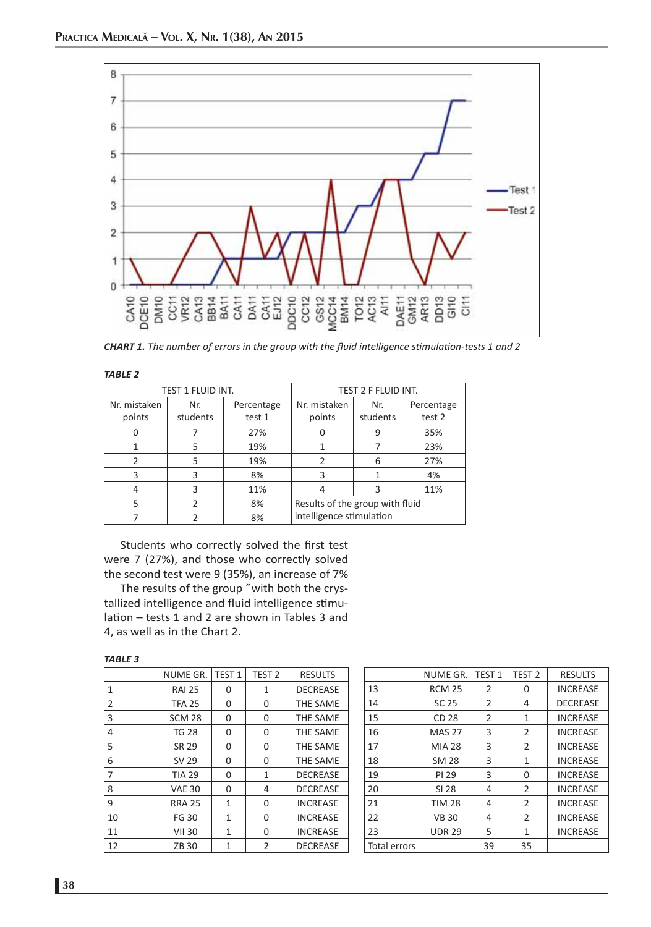

*CHART 1. The number of errors in the group with the fluid intelligence stimulation-tests 1 and 2* 

|--|--|

| <b>TEST 1 FLUID INT.</b> |          |            | TEST 2 F FLUID INT.                                         |          |            |  |
|--------------------------|----------|------------|-------------------------------------------------------------|----------|------------|--|
| Nr. mistaken             | Nr.      | Percentage | Nr. mistaken                                                | Nr.      | Percentage |  |
| points                   | students | test 1     | points                                                      | students | test 2     |  |
|                          |          | 27%        |                                                             | 9        | 35%        |  |
|                          | 5        | 19%        |                                                             |          | 23%        |  |
| $\mathcal{P}$            | 5        | 19%        | っ                                                           | 6        | 27%        |  |
| 3                        | 3        | 8%         | 3                                                           |          | 4%         |  |
|                          | 3        | 11%        |                                                             | ₹        | 11%        |  |
| 5                        |          | 8%         | Results of the group with fluid<br>intelligence stimulation |          |            |  |
|                          |          | 8%         |                                                             |          |            |  |

Students who correctly solved the first test were 7 (27%), and those who correctly solved the second test were 9 (35%), an increase of 7%

The results of the group ˝with both the crystallized intelligence and fluid intelligence stimulation – tests 1 and 2 are shown in Tables 3 and 4, as well as in the Chart 2.

| ×<br>۰, |
|---------|
|---------|

|    | NUME GR.      | TEST <sub>1</sub> | TEST <sub>2</sub> | <b>RESULTS</b>  |
|----|---------------|-------------------|-------------------|-----------------|
| 1  | <b>RAI 25</b> | 0                 | 1                 | <b>DECREASE</b> |
| 2  | <b>TFA 25</b> | 0                 | 0                 | THE SAME        |
| 3  | <b>SCM 28</b> | 0                 | 0                 | THE SAME        |
| 4  | <b>TG 28</b>  | 0                 | 0                 | <b>THE SAME</b> |
| 5  | SR 29         | 0                 | 0                 | <b>THE SAME</b> |
| 6  | SV 29         | 0                 | 0                 | THE SAME        |
| 7  | <b>TIA 29</b> | 0                 | 1                 | <b>DECREASE</b> |
| 8  | <b>VAE 30</b> | 0                 | 4                 | <b>DECREASE</b> |
| 9  | <b>RRA 25</b> | 1                 | 0                 | <b>INCREASE</b> |
| 10 | <b>FG 30</b>  | 1                 | 0                 | <b>INCREASE</b> |
| 11 | <b>VII 30</b> | 1                 | 0                 | <b>INCREASE</b> |
| 12 | ZB 30         | 1                 | 2                 | <b>DECREASE</b> |

|              | NUME GR.      | TEST 1         | TEST <sub>2</sub> | <b>RESULTS</b>  |
|--------------|---------------|----------------|-------------------|-----------------|
| 13           | <b>RCM 25</b> | 2              | 0                 | <b>INCREASE</b> |
| 14           | <b>SC 25</b>  | 2              | 4                 | <b>DECREASE</b> |
| 15           | CD 28         | $\overline{2}$ | 1                 | <b>INCREASE</b> |
| 16           | <b>MAS 27</b> | 3              | 2                 | <b>INCREASE</b> |
| 17           | <b>MIA 28</b> | 3              | $\overline{2}$    | <b>INCREASE</b> |
| 18           | <b>SM 28</b>  | 3              | 1                 | <b>INCREASE</b> |
| 19           | PI 29         | 3              | 0                 | <b>INCREASE</b> |
| 20           | SI 28         | 4              | 2                 | <b>INCREASE</b> |
| 21           | <b>TIM 28</b> | 4              | 2                 | <b>INCREASE</b> |
| 22           | <b>VB30</b>   | 4              | 2                 | <b>INCREASE</b> |
| 23           | <b>UDR 29</b> | 5              | $\mathbf{1}$      | <b>INCREASE</b> |
| Total errors |               | 39             | 35                |                 |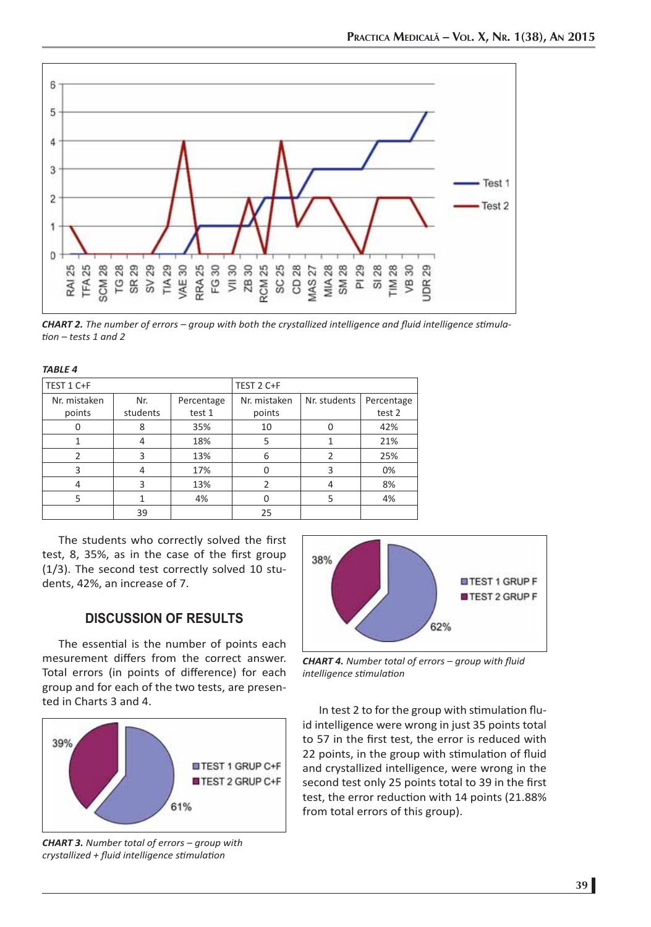

*CHART 2. The number of errors – group with both the crystallized intelligence and fluid intelligence stimulati on – tests 1 and 2*

| <b>TABLE 4</b> |          |            |               |              |            |  |  |
|----------------|----------|------------|---------------|--------------|------------|--|--|
| TEST 1 C+F     |          |            | TEST 2 C+F    |              |            |  |  |
| Nr. mistaken   | Nr.      | Percentage | Nr. mistaken  | Nr. students | Percentage |  |  |
| points         | students | test 1     | points        |              | test 2     |  |  |
|                | 8        | 35%        | 10            | 0            | 42%        |  |  |
|                | 4        | 18%        | 5             |              | 21%        |  |  |
| $\mathfrak{p}$ | 3        | 13%        | 6             | 2            | 25%        |  |  |
| 3              | 4        | 17%        | O             | 3            | 0%         |  |  |
| 4              | 3        | 13%        | $\mathfrak z$ | 4            | 8%         |  |  |
| 5              |          | 4%         | $\Omega$      | 5            | 4%         |  |  |
|                | 39       |            | 25            |              |            |  |  |

The students who correctly solved the first test, 8, 35%, as in the case of the first group (1/3). The second test correctly solved 10 students, 42%, an increase of 7.

## **DISCUSSION OF RESULTS**

The essential is the number of points each mesurement differs from the correct answer. Total errors (in points of difference) for each group and for each of the two tests, are presented in Charts 3 and 4.



*CHART 3. Number total of errors – group with crystallized + fl uid intelligence sti mulati on*



**CHART 4.** Number total of errors - group with fluid *intelligence sti mulati on*

In test 2 to for the group with stimulation fluid intelligence were wrong in just 35 points total to 57 in the first test, the error is reduced with 22 points, in the group with stimulation of fluid and crystallized intelligence, were wrong in the second test only 25 points total to 39 in the first test, the error reduction with 14 points (21.88% from total errors of this group).